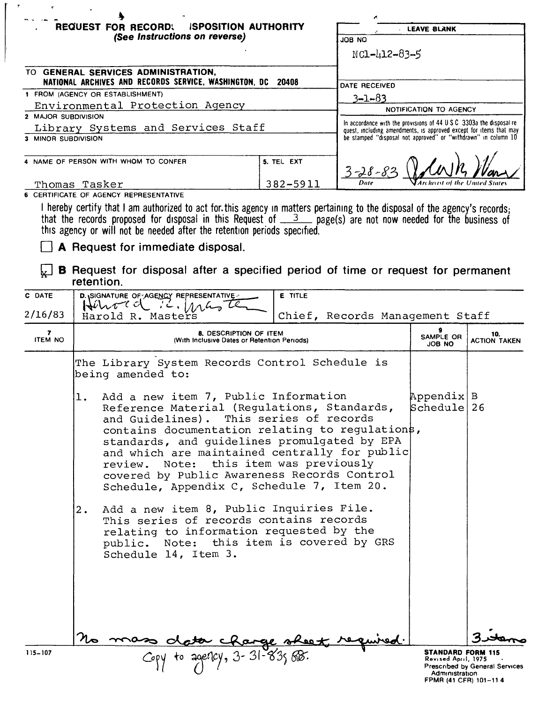|                                                           | <b>REQUEST FOR RECORD.</b><br><b>ISPOSITION AUTHORITY</b>                                                                                                                                                                                                                                                                         |                |                                                                                                                                                                                                              | <b>LEAVE BLANK</b>         |  |
|-----------------------------------------------------------|-----------------------------------------------------------------------------------------------------------------------------------------------------------------------------------------------------------------------------------------------------------------------------------------------------------------------------------|----------------|--------------------------------------------------------------------------------------------------------------------------------------------------------------------------------------------------------------|----------------------------|--|
|                                                           | (See Instructions on reverse)                                                                                                                                                                                                                                                                                                     |                | JOB NO                                                                                                                                                                                                       |                            |  |
|                                                           |                                                                                                                                                                                                                                                                                                                                   |                | NC1-412-83-5                                                                                                                                                                                                 |                            |  |
|                                                           | TO GENERAL SERVICES ADMINISTRATION,<br>NATIONAL ARCHIVES AND RECORDS SERVICE, WASHINGTON, DC 20408                                                                                                                                                                                                                                |                | DATE RECEIVED                                                                                                                                                                                                |                            |  |
|                                                           | 1 FROM (AGENCY OR ESTABLISHMENT)                                                                                                                                                                                                                                                                                                  |                | $3 - 1 - 83$                                                                                                                                                                                                 |                            |  |
|                                                           | Environmental Protection Agency                                                                                                                                                                                                                                                                                                   |                |                                                                                                                                                                                                              | NOTIFICATION TO AGENCY     |  |
| 2 MAJOR SUBDIVISION                                       |                                                                                                                                                                                                                                                                                                                                   |                |                                                                                                                                                                                                              |                            |  |
| Library Systems and Services Staff<br>3 MINOR SUBDIVISION |                                                                                                                                                                                                                                                                                                                                   |                | In accordance with the provisions of 44 U S C 3303a the disposal re-<br>quest, including amendments, is approved except for items that may<br>be stamped "disposal not approved" or "withdrawn" in column 10 |                            |  |
|                                                           | 4 NAME OF PERSON WITH WHOM TO CONFER                                                                                                                                                                                                                                                                                              | 5. TEL EXT     | $3 - 28 -$                                                                                                                                                                                                   |                            |  |
|                                                           | Thomas Tasker                                                                                                                                                                                                                                                                                                                     | 382-5911       |                                                                                                                                                                                                              |                            |  |
|                                                           | <b>6 CERTIFICATE OF AGENCY REPRESENTATIVE</b>                                                                                                                                                                                                                                                                                     |                |                                                                                                                                                                                                              |                            |  |
|                                                           | I hereby certify that I am authorized to act for this agency in matters pertaining to the disposal of the agency's records;<br>that the records proposed for disposal in this Request of $\frac{3}{2}$ page(s) are not now needed for the business of<br>this agency or will not be needed after the retention periods specified. |                |                                                                                                                                                                                                              |                            |  |
|                                                           | A Request for immediate disposal.                                                                                                                                                                                                                                                                                                 |                |                                                                                                                                                                                                              |                            |  |
|                                                           | <b>B</b> Request for disposal after a specified period of time or request for permanent<br>retention.                                                                                                                                                                                                                             |                |                                                                                                                                                                                                              |                            |  |
| C DATE                                                    | D. SIGNATURE OF AGENCY REPRESENTATIVE                                                                                                                                                                                                                                                                                             | <b>E TITLE</b> |                                                                                                                                                                                                              |                            |  |
| 2/16/83                                                   | Henord ic. Mas<br>Chief, Records Management Staff<br>Harold R. Masters                                                                                                                                                                                                                                                            |                |                                                                                                                                                                                                              |                            |  |
| 7<br><b>ITEM NO</b>                                       | <b>8. DESCRIPTION OF ITEM</b><br>(With Inclusive Dates or Retention Periods)                                                                                                                                                                                                                                                      |                | SAMPLE OR<br>JOB NO                                                                                                                                                                                          | 10.<br><b>ACTION TAKEN</b> |  |
|                                                           | The Library System Records Control Schedule is<br>being amended to:                                                                                                                                                                                                                                                               |                |                                                                                                                                                                                                              |                            |  |

- 1. Add a new item 7, Public Information  $\lambda$  Appendix B Reference Material (Regulations, Standards, Schedule 26 and Guidelines). This series of records contains documentation relating to regulations, standards, and guidelines promulgated by EPA and which are maintained centrally for public review. Note: this item was previously covered by Public Awareness Records Control Schedule, Appendix C, Schedule 7, Item 20.
- 2. Add a new item 8, Public Inquiries File. This series of records contains records relating to information requested by the public. Note: this item is covered by GRS Schedule 14, Item 3.

so data change sheet.<br>Copy to age:10y, 3-31-83; BB.

**STANDARD FORM 115** Revised April, 1975 Prescnbed by General Services Administration FPMR (41 CFR) 101-114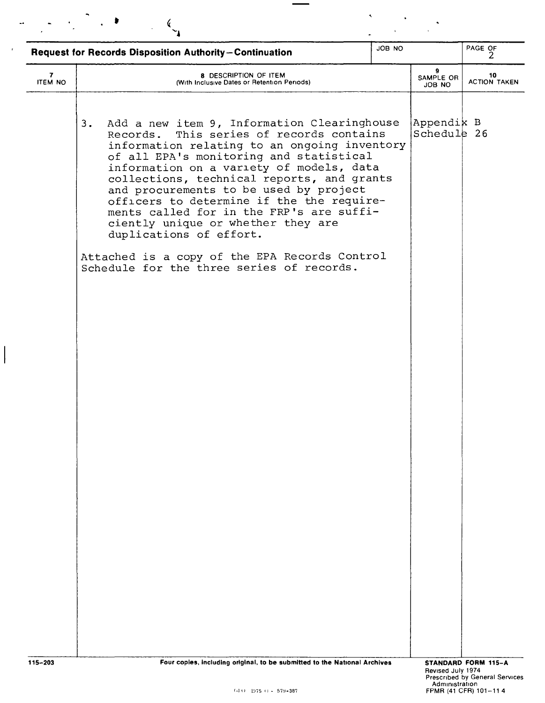|                     | JOB NO<br>Request for Records Disposition Authority-Continuation                                                                                                                                                                                                                                                                                                                                                                                                                                                                                                                        |  |                           | PAGE OF                   |
|---------------------|-----------------------------------------------------------------------------------------------------------------------------------------------------------------------------------------------------------------------------------------------------------------------------------------------------------------------------------------------------------------------------------------------------------------------------------------------------------------------------------------------------------------------------------------------------------------------------------------|--|---------------------------|---------------------------|
| 7<br><b>ITEM NO</b> | 8 DESCRIPTION OF ITEM<br>(With Inclusive Dates or Retention Periods)                                                                                                                                                                                                                                                                                                                                                                                                                                                                                                                    |  | 9.<br>SAMPLE OR<br>ON BOL | 10<br><b>ACTION TAKEN</b> |
|                     | Add a new item 9, Information Clearinghouse<br>3.<br>This series of records contains<br>Records.<br>information relating to an ongoing inventory<br>of all EPA's monitoring and statistical<br>information on a variety of models, data<br>collections, technical reports, and grants<br>and procurements to be used by project<br>officers to determine if the the require-<br>ments called for in the FRP's are suffi-<br>ciently unique or whether they are<br>duplications of effort.<br>Attached is a copy of the EPA Records Control<br>Schedule for the three series of records. |  | Appendik B<br>Schedule 26 |                           |
|                     |                                                                                                                                                                                                                                                                                                                                                                                                                                                                                                                                                                                         |  |                           |                           |
| 115-203             | Four copies, including original, to be submitted to the National Archives                                                                                                                                                                                                                                                                                                                                                                                                                                                                                                               |  |                           | STANDARD FORM 115-A       |

 $\label{eq:1} \begin{array}{l} \mathbf{S}_{\text{max}}=\mathbf{S}_{\text{max}}\\ \mathbf{S}_{\text{max}}=\mathbf{S}_{\text{max}}+\mathbf{S}_{\text{max}} \end{array}$ 

 $\label{eq:optimal} \begin{split} \mathcal{L}_{\text{eff}} & = \frac{1}{2} \left( \frac{1}{\sqrt{2}} \left( \frac{1}{\sqrt{2}} \right)^2 \right) \sqrt{2} \end{split}$ 

 $\sim$   $\epsilon$ 

 $\begin{array}{c} \end{array}$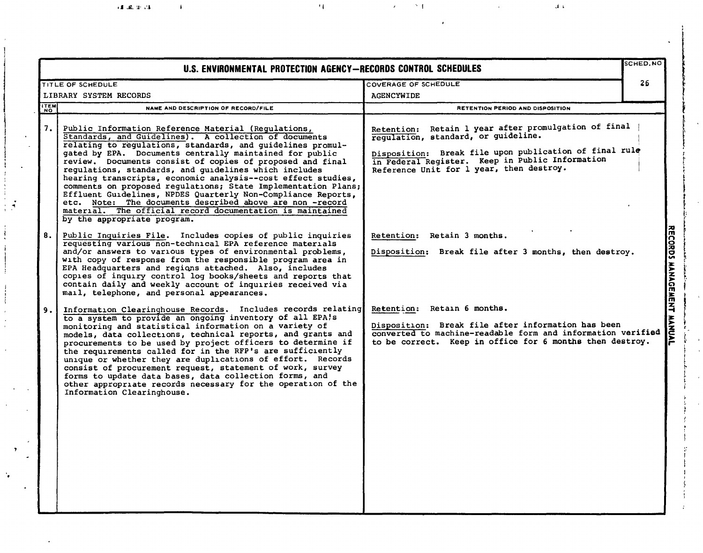|             | U.S. ENVIRONMENTAL PROTECTION AGENCY-RECORDS CONTROL SCHEDULES                                                                                                                                                                                                                                                                                                                                                                                                                                                                                                                                                                                                                                                       |                                                                                                                                                                                                                                                      | SCHED.NC |
|-------------|----------------------------------------------------------------------------------------------------------------------------------------------------------------------------------------------------------------------------------------------------------------------------------------------------------------------------------------------------------------------------------------------------------------------------------------------------------------------------------------------------------------------------------------------------------------------------------------------------------------------------------------------------------------------------------------------------------------------|------------------------------------------------------------------------------------------------------------------------------------------------------------------------------------------------------------------------------------------------------|----------|
|             | TITLE OF SCHEDULE                                                                                                                                                                                                                                                                                                                                                                                                                                                                                                                                                                                                                                                                                                    | COVERAGE OF SCHEDULE                                                                                                                                                                                                                                 |          |
|             | LIBRARY SYSTEM RECORDS                                                                                                                                                                                                                                                                                                                                                                                                                                                                                                                                                                                                                                                                                               | <b>AGENCYWIDE</b>                                                                                                                                                                                                                                    |          |
| <b>ITEM</b> | NAME AND DESCRIPTION OF RECORD/FILE                                                                                                                                                                                                                                                                                                                                                                                                                                                                                                                                                                                                                                                                                  | RETENTION PERIOD AND DISPOSITION                                                                                                                                                                                                                     |          |
|             | Public Information Reference Material (Regulations,<br>Standards, and Guidelines). A collection of documents<br>relating to regulations, standards, and guidelines promul-<br>gated by EPA. Documents centrally maintained for public<br>review. Documents consist of copies of proposed and final<br>regulations, standards, and guidelines which includes<br>hearing transcripts, economic analysis--cost effect studies,<br>comments on proposed regulations; State Implementation Plans;<br>Effluent Guidelines, NPDES Quarterly Non-Compliance Reports,<br>etc. Note: The documents described above are non -record<br>material. The official record documentation is maintained<br>by the appropriate program. | Retention: Retain 1 year after promulgation of final<br>regulation, standard, or guideline.<br>Disposition: Break file upon publication of final rule<br>in Federal Register. Keep in Public Information<br>Reference Unit for 1 year, then destroy. |          |
| 8.          | Public Inquiries File. Includes copies of public inquiries<br>requesting various non-technical EPA reference materials<br>and/or answers to various types of environmental problems,<br>with copy of response from the responsible program area in<br>EPA Headquarters and regions attached. Also, includes<br>copies of inquiry control log books/sheets and reports that<br>contain daily and weekly account of inquiries received via<br>mail, telephone, and personal appearances.                                                                                                                                                                                                                               | Retention: Retain 3 months.<br>Disposition: Break file after 3 months, then destroy.                                                                                                                                                                 |          |
| 9.1         | Information Clearinghouse Records. Includes records relating<br>to a system to provide an ongoing inventory of all EPA!s<br>monitoring and statistical information on a variety of<br>models, data collections, technical reports, and grants and<br>procurements to be used by project officers to determine if<br>the requirements called for in the RFP's are sufficiently<br>unique or whether they are duplications of effort. Records<br>consist of procurement request, statement of work, survey<br>forms to update data bases, data collection forms, and<br>other appropriate records necessary for the operation of the<br>Information Clearinghouse.                                                     | Retention: Retain 6 months.<br>Disposition: Break file after information has been<br>converted to machine-readable form and information verified<br>to be correct. Keep in office for 6 months then destroy.                                         |          |
|             |                                                                                                                                                                                                                                                                                                                                                                                                                                                                                                                                                                                                                                                                                                                      |                                                                                                                                                                                                                                                      |          |

 $1.2.4.4$ 

 $\bar{1}$ 

,11  $\sim$  11  $\sim$  12  $\sim$  12  $\sim$  12  $\sim$  12  $\sim$  12  $\sim$  12  $\sim$  12  $\sim$  12  $\sim$ 

\' r  $\vdash$ i , i ,<br>! ŗ t l<br>|<br>|

ր<br>1

! i f  $\ddot{\ddot{\phantom{}}},$  $\mathfrak{k}^-$ I i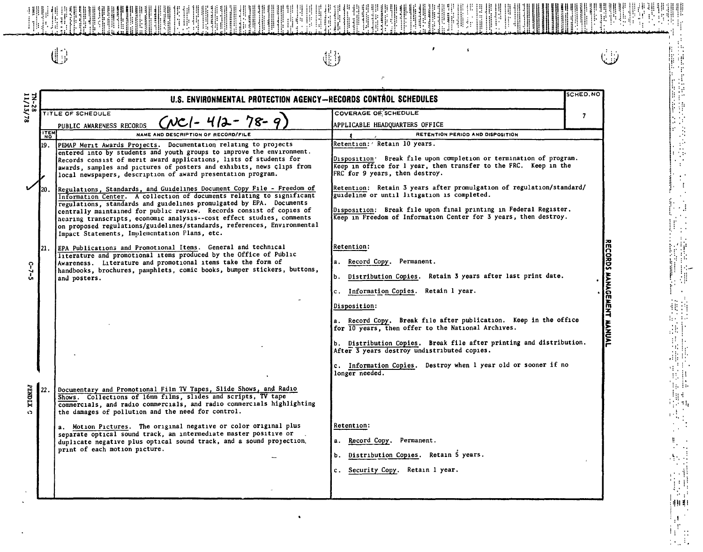$\mathbb{G}$ 

| 11/113/                                       | SCHED.NO<br>U.S. ENVIRONMENTAL PROTECTION AGENCY-RECORDS CONTROL SCHEDULES |                                                                                                                                                                                                                                                                                                                                                                                                                                                                                                                                                                                                                                                                                                                                                                                                                                                                |                                                                                                                                                                                                                                                                                                                                                                                                                                                                                         |                           |  |
|-----------------------------------------------|----------------------------------------------------------------------------|----------------------------------------------------------------------------------------------------------------------------------------------------------------------------------------------------------------------------------------------------------------------------------------------------------------------------------------------------------------------------------------------------------------------------------------------------------------------------------------------------------------------------------------------------------------------------------------------------------------------------------------------------------------------------------------------------------------------------------------------------------------------------------------------------------------------------------------------------------------|-----------------------------------------------------------------------------------------------------------------------------------------------------------------------------------------------------------------------------------------------------------------------------------------------------------------------------------------------------------------------------------------------------------------------------------------------------------------------------------------|---------------------------|--|
| TITLE OF SCHEDULE<br>PUBLIC AWARENESS RECORDS |                                                                            | $(NC1 - 412 - 78 - 9)$                                                                                                                                                                                                                                                                                                                                                                                                                                                                                                                                                                                                                                                                                                                                                                                                                                         | <b>COVERAGE OF SCHEDULE</b><br>APPLICABLE HEADQUARTERS OFFICE                                                                                                                                                                                                                                                                                                                                                                                                                           | $\overline{\mathbf{z}}$   |  |
|                                               | <b>ITEM</b>                                                                | NAME AND DESCRIPTION OF RECORD/FILE                                                                                                                                                                                                                                                                                                                                                                                                                                                                                                                                                                                                                                                                                                                                                                                                                            | RETENTION PERIOD AND DISPOSITION                                                                                                                                                                                                                                                                                                                                                                                                                                                        |                           |  |
| v                                             | l19.<br>I20.                                                               | PEMAP Merit Awards Projects. Documentation relating to projects<br>entered into by students and youth groups to improve the environment.<br>Records consist of merit award applications, lists of students for<br>awards, samples and pictures of posters and exhibits, news clips from<br>local newspapers, description of award presentation program.<br>Regulations, Standards, and Guidelines Document Copy File - Freedom of<br>Information Center. A collection of documents relating to significant<br>regulations, standards and guidelines promulgated by EPA. Documents<br>centrally maintained for public review. Records consist of copies of<br>nearing transcripts, economic analysis--cost effect studies, comments<br>on proposed regulations/guidelines/standards, references, Environmental<br>Impact Statements, Implementation Plans, etc. | Retention: ' Retain 10 years.<br>Disposition. Break file upon completion or termination of program.<br>Keep in office for 1 year, then transfer to the FRC. Keep in the<br>FRC for 9 years, then destroy.<br>Retention: Retain 3 years after promulgation of regulation/standard/<br>guideline or until litigation is completed.<br>Disposition: Break file upon final printing in Federal Register.<br>Keep in Freedom of Information Center for 3 years, then destroy.                |                           |  |
| $C - 7 - 5$                                   | 21.                                                                        | EPA Publications and Promotional Items. General and technical<br>Interature and promotional items produced by the Office of Public<br>Awareness. Literature and promotional items take the form of<br>handbooks, brochures, pamphlets, comic books, bumper stickers, buttons,<br>and posters.                                                                                                                                                                                                                                                                                                                                                                                                                                                                                                                                                                  | Retention:<br>a. Record Copy. Permanent.<br>Distribution Copies. Retain 3 years after last print date.<br>Information Copies.<br>Retain 1 year.<br>c.<br>Disposition:<br>a. Record Copy. Break file after publication. Keep in the office<br>for 10 years, then offer to the National Archives.<br>b. Distribution Copies. Break file after printing and distribution.<br>After 3 years destroy undistributed copies.<br>c. Information Copies. Destroy when 1 year old or sooner if no | RECORDS MANAGEMENT MANUAL |  |
| <b>PENDLX</b><br>$\bullet$                    | 22                                                                         | Documentary and Promotional Film TV Tapes, Slide Shows, and Radio<br>Shows. Collections of 16mm films, slides and scripts, TV tape<br>commercials, and radio commercials, and radio commercials highlighting<br>the damages of pollution and the need for control.<br>a. Motion Pictures. The original negative or color original plus<br>separate optical sound track, an intermediate master positive or<br>duplicate negative plus optical sound track, and a sound projection,<br>print of each motion picture.                                                                                                                                                                                                                                                                                                                                            | longer needed.<br>Retention:<br>Record Copy.<br>Permanent.<br>а.<br>Distribution Copies. Retain 5 years.<br>Ъ.<br>Security Copy. Retain 1 year.<br>c.                                                                                                                                                                                                                                                                                                                                   |                           |  |

 $\tau$ 

 $\pmb{\epsilon}$ 

 $\pmb{\epsilon}$ 

# لأنيا

植品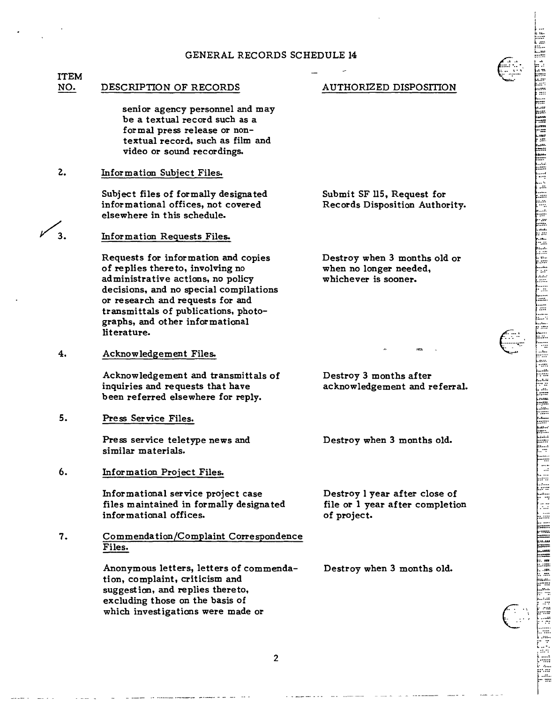### GENERAL RECORDS SCHEDULE 14

#### **ITEM** NO. DESCRIPTION OF RECORDS

senior agency personnel and may be a textual record such as a formal press release or nontextual record, such as film and video or sound recordings.

 $2.$ Information Subject Files.

> Subject files of formally designated informational offices, not covered elsewhere in this schedule.

 $\mathbf{z}$ Information Requests Files.

> Requests for information and copies of replies thereto, involving no administrative actions, no policy decisions, and no special compilations or research and requests for and transmittals of publications, photographs, and other informational literature.

4. Acknowledgement Files.

> Acknowledgement and transmittals of inquiries and requests that have been referred elsewhere for reply.

 $5.$ Press Service Files.

> Press service teletype news and similar materials.

6. Information Project Files.

> Informational service project case files maintained in formally designated informational offices.

7. Commendation/Complaint Correspondence Files.

> Anonymous letters, letters of commendation, complaint, criticism and suggestion, and replies thereto, excluding those on the basis of which investigations were made or

## AUTHORIZED DISPOSITION

Submit SF 115, Request for Records Disposition Authority.

Destroy when 3 months old or when no longer needed. whichever is sooner.



Destroy 3 months after acknowledgement and referral.

Destroy when 3 months old.

Destroy l year after close of file or 1 year after completion of project.

Destroy when 3 months old.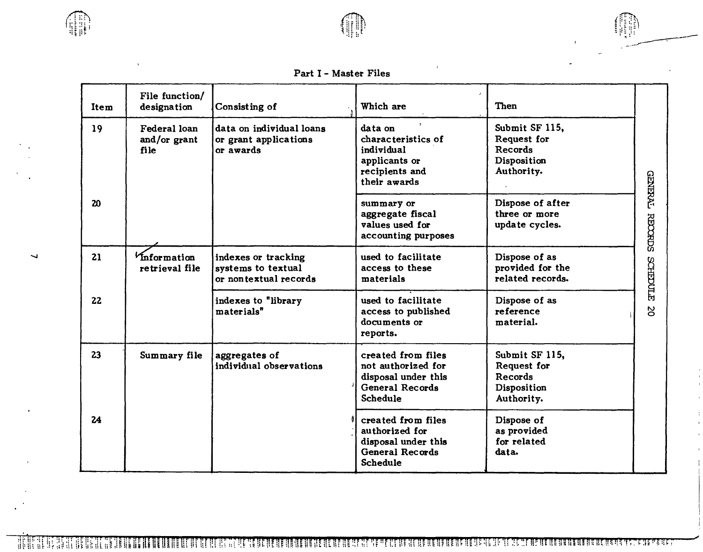

 $f(n)$  $\sim$   $\sim$   $\sim$ 

# Part I - Master Files

| Item            | File function/<br>designation        | Consisting of                                                      | Which are                                                                                                | Then                                                                         |                 |
|-----------------|--------------------------------------|--------------------------------------------------------------------|----------------------------------------------------------------------------------------------------------|------------------------------------------------------------------------------|-----------------|
| 19              | Federal loan<br>and/or grant<br>file | data on individual loans<br>or grant applications<br>or awards     | data on<br>characteristics of<br>individual<br>applicants or<br>recipients and<br>their awards           | Submit SF 115,<br>Request for<br><b>Records</b><br>Disposition<br>Authority. | <b>GENERAT</b>  |
| 20 <sub>o</sub> |                                      |                                                                    | summary or<br>aggregate fiscal<br>values used for<br>accounting purposes                                 | Dispose of after<br>three or more<br>update cycles.                          | <b>RECORDE</b>  |
| 21              | Information<br>retrieval file        | indexes or tracking<br>systems to textual<br>or nontextual records | used to facilitate<br>access to these<br>materials                                                       | Dispose of as<br>provided for the<br>related records.                        | <b>SCHEDULE</b> |
| 22              |                                      | indexes to "library<br>materials"                                  | used to facilitate<br>access to published<br>documents or<br>reports.                                    | Dispose of as<br>reference<br>material.                                      | $\overline{c}$  |
| 23              | Summary file                         | aggregates of<br>individual observations                           | created from files<br>not authorized for<br>disposal under this<br>General Records<br><b>Schedule</b>    | Submit SF 115,<br>Request for<br>Records<br>Disposition<br>Authority.        |                 |
| 24              |                                      |                                                                    | created from files<br>authorized for<br>disposal under this<br><b>General Records</b><br><b>Schedule</b> | Dispose of<br>as provided<br>for related<br>data.                            |                 |

 $\overline{\phantom{0}}$ 

HEHE **A A LE DE LA CONSTITUCIÓN DE LA CALLA DEL CONTENENTAL DE LA CALLA DE LA CALLA CALLA DEL CALLA DEL CALLA DEL CA** -1666 t di Lag